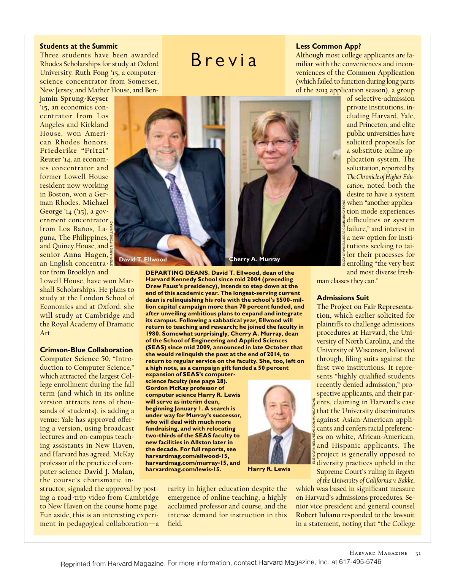## **Students at the Summit**

Three students have been awarded Rhodes Scholarships for study at Oxford University. **Ruth Fong** '15**,** a computerscience concentrator from Somerset, New Jersey, and Mather House, and **Ben-**

**jamin Sprung-Keyser**  '15**,** an economics concentrator from Los Angeles and Kirkland House, won American Rhodes honors. **Friederike "Fritzi" Reuter** '14, an economics concentrator and former Lowell House resident now working in Boston, won a German Rhodes. **Michael George** '14 ('15), a government concentrator from Los Baños, Laguna, The Philippines, and Quincy House, and senior **Anna Hagen,** an English concentrator from Brooklyn and STEPHANIE MITCHELL/HPAC

Lowell House, have won Marshall Scholarships. He plans to study at the London School of Economics and at Oxford; she will study at Cambridge and the Royal Academy of Dramatic Art.

#### **Crimson-Blue Collaboration**

**Computer Science 50,** "Introduction to Computer Science," which attracted the largest College enrollment during the fall term (and which in its online version attracts tens of thousands of students), is adding a venue: Yale has approved offering a version, using broadcast lectures and on-campus teaching assistants in New Haven, and Harvard has agreed. McKay professor of the practice of computer science **David J. Malan,** the course's charismatic in-

structor, signaled the approval by posting a road-trip video from Cambridge to New Haven on the course home page. Fun aside, this is an interesting experiment in pedagogical collaboration—a



Brevia

**DEPARTING DEANS. David T. Ellwood, dean of the Harvard Kennedy School since mid 2004 (preceding Drew Faust's presidency), intends to step down at the end of this academic year. The longest-serving current dean is relinquishing his role with the school's \$500-million capital campaign more than 70 percent funded, and after unveiling ambitious plans to expand and integrate its campus. Following a sabbatical year, Ellwood will return to teaching and research; he joined the faculty in 1980. Somewhat surprisingly, Cherry A. Murray, dean of the School of Engineering and Applied Sciences (SEAS) since mid 2009, announced in late October that she would relinquish the post at the end of 2014, to return to regular service on the faculty. She, too, left on a high note, as a campaign gift funded a 50 percent** 

**expansion of SEAS's computerscience faculty (see page 28). Gordon McKay professor of computer science Harry R. Lewis will serve as interim dean, beginning January 1. A search is under way for Murray's successor, who will deal with much more fundraising, and with relocating two-thirds of the SEAS faculty to new facilities in Allston later in the decade. For full reports, see harvardmag.com/ellwood-15, harvardmag.com/murray-15, and harvardmag.com/lewis-15.** 

**Harry R. Lewis**

rarity in higher education despite the emergence of online teaching, a highly acclaimed professor and course, and the intense demand for instruction in this field.

# **Less Common App?**

Although most college applicants are familiar with the conveniences and inconveniences of the **Common Application** (which failed to function during long parts of the 2013 application season), a group

> of selective-admission private institutions, including Harvard, Yale, and Princeton, and elite public universities have solicited proposals for a substitute online application system. The solicitation, reported by *The Chronicle of Higher Education*, noted both the desire to have a system when "another application mode experiences difficulties or system failure," and interest in a new option for institutions seeking to tailor their processes for enrolling "the very best and most diverse fresh-ELIZA GRINNELL/SEAS COMMUNICATIONS

man classes they can."

#### **Admissions Suit**

**The Project on Fair Representation,** which earlier solicited for plaintifs to challenge admissions procedures at Harvard, the University of North Carolina, and the University of Wisconsin, followed through, filing suits against the first two institutions. It represents "highly qualified students recently denied admission," prospective applicants, and their parents, claiming in Harvard's case that the University discriminates against Asian-American applicants and confers racial preferences on white, African-American, and Hispanic applicants. The project is generally opposed to diversity practices upheld in the Supreme Court's ruling in *Regents of the University of California v. Bakke*, ELIZA GRINNELL/SEAS COMMUNICATIONS

which was based in significant measure on Harvard's admissions procedures. Senior vice president and general counsel **Robert Iuliano** responded to the lawsuit in a statement, noting that "the College